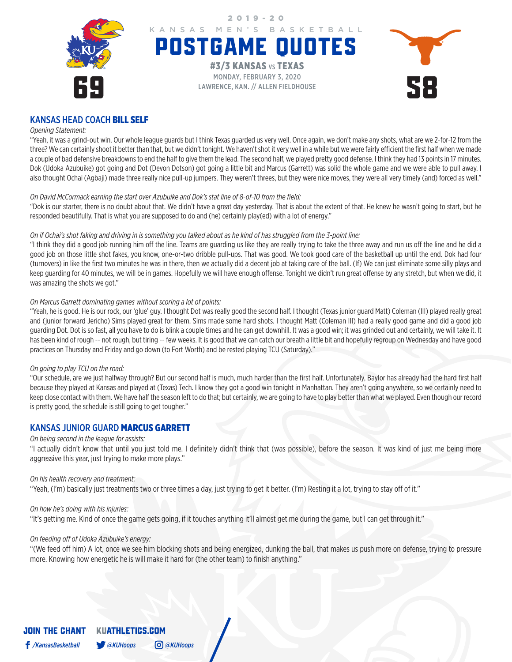

## KANSAS HEAD COACH BILL SELF

#### *Opening Statement:*

"Yeah, it was a grind-out win. Our whole league guards but I think Texas guarded us very well. Once again, we don't make any shots, what are we 2-for-12 from the three? We can certainly shoot it better than that, but we didn't tonight. We haven't shot it very well in a while but we were fairly efficient the first half when we made a couple of bad defensive breakdowns to end the half to give them the lead. The second half, we played pretty good defense. I think they had 13 points in 17 minutes. Dok (Udoka Azubuike) got going and Dot (Devon Dotson) got going a little bit and Marcus (Garrett) was solid the whole game and we were able to pull away. I also thought Ochai (Agbaji) made three really nice pull-up jumpers. They weren't threes, but they were nice moves, they were all very timely (and) forced as well."

### *On David McCormack earning the start over Azubuike and Dok's stat line of 8-of-10 from the field:*

"Dok is our starter, there is no doubt about that. We didn't have a great day yesterday. That is about the extent of that. He knew he wasn't going to start, but he responded beautifully. That is what you are supposed to do and (he) certainly play(ed) with a lot of energy."

### *On if Ochai's shot faking and driving in is something you talked about as he kind of has struggled from the 3-point line:*

"I think they did a good job running him off the line. Teams are guarding us like they are really trying to take the three away and run us off the line and he did a good job on those little shot fakes, you know, one-or-two dribble pull-ups. That was good. We took good care of the basketball up until the end. Dok had four (turnovers) in like the first two minutes he was in there, then we actually did a decent job at taking care of the ball. (If) We can just eliminate some silly plays and keep guarding for 40 minutes, we will be in games. Hopefully we will have enough offense. Tonight we didn't run great offense by any stretch, but when we did, it was amazing the shots we got."

### *On Marcus Garrett dominating games without scoring a lot of points:*

"Yeah, he is good. He is our rock, our 'glue' guy. I thought Dot was really good the second half. I thought (Texas junior guard Matt) Coleman (III) played really great and (junior forward Jericho) Sims played great for them. Sims made some hard shots. I thought Matt (Coleman III) had a really good game and did a good job guarding Dot. Dot is so fast, all you have to do is blink a couple times and he can get downhill. It was a good win; it was grinded out and certainly, we will take it. It has been kind of rough -- not rough, but tiring -- few weeks. It is good that we can catch our breath a little bit and hopefully regroup on Wednesday and have good practices on Thursday and Friday and go down (to Fort Worth) and be rested playing TCU (Saturday)."

### *On going to play TCU on the road:*

"Our schedule, are we just halfway through? But our second half is much, much harder than the first half. Unfortunately, Baylor has already had the hard first half because they played at Kansas and played at (Texas) Tech. I know they got a good win tonight in Manhattan. They aren't going anywhere, so we certainly need to keep close contact with them. We have half the season left to do that; but certainly, we are going to have to play better than what we played. Even though our record is pretty good, the schedule is still going to get tougher."

### KANSAS JUNIOR GUARD MARCUS GARRETT

### *On being second in the league for assists:*

"I actually didn't know that until you just told me. I definitely didn't think that (was possible), before the season. It was kind of just me being more aggressive this year, just trying to make more plays."

### *On his health recovery and treatment:*

"Yeah, (I'm) basically just treatments two or three times a day, just trying to get it better. (I'm) Resting it a lot, trying to stay off of it."

### *On how he's doing with his injuries:*

"It's getting me. Kind of once the game gets going, if it touches anything it'll almost get me during the game, but I can get through it."

### *On feeding off of Udoka Azubuike's energy:*

"(We feed off him) A lot, once we see him blocking shots and being energized, dunking the ball, that makes us push more on defense, trying to pressure more. Knowing how energetic he is will make it hard for (the other team) to finish anything."